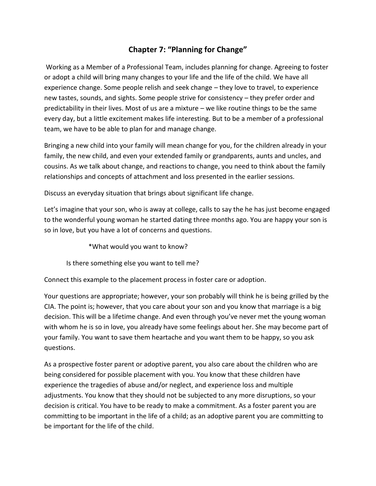## **Chapter 7: "Planning for Change"**

Working as a Member of a Professional Team, includes planning for change. Agreeing to foster or adopt a child will bring many changes to your life and the life of the child. We have all experience change. Some people relish and seek change – they love to travel, to experience new tastes, sounds, and sights. Some people strive for consistency – they prefer order and predictability in their lives. Most of us are a mixture – we like routine things to be the same every day, but a little excitement makes life interesting. But to be a member of a professional team, we have to be able to plan for and manage change.

Bringing a new child into your family will mean change for you, for the children already in your family, the new child, and even your extended family or grandparents, aunts and uncles, and cousins. As we talk about change, and reactions to change, you need to think about the family relationships and concepts of attachment and loss presented in the earlier sessions.

Discuss an everyday situation that brings about significant life change.

Let's imagine that your son, who is away at college, calls to say the he has just become engaged to the wonderful young woman he started dating three months ago. You are happy your son is so in love, but you have a lot of concerns and questions.

\*What would you want to know?

Is there something else you want to tell me?

Connect this example to the placement process in foster care or adoption.

Your questions are appropriate; however, your son probably will think he is being grilled by the CIA. The point is; however, that you care about your son and you know that marriage is a big decision. This will be a lifetime change. And even through you've never met the young woman with whom he is so in love, you already have some feelings about her. She may become part of your family. You want to save them heartache and you want them to be happy, so you ask questions.

As a prospective foster parent or adoptive parent, you also care about the children who are being considered for possible placement with you. You know that these children have experience the tragedies of abuse and/or neglect, and experience loss and multiple adjustments. You know that they should not be subjected to any more disruptions, so your decision is critical. You have to be ready to make a commitment. As a foster parent you are committing to be important in the life of a child; as an adoptive parent you are committing to be important for the life of the child.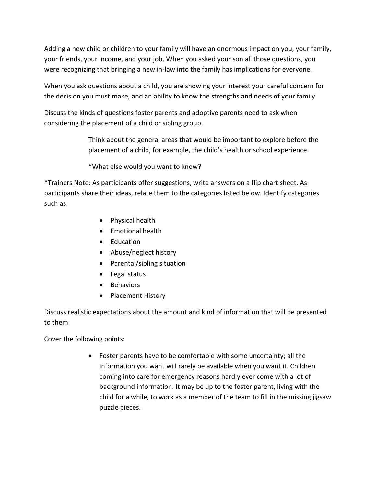Adding a new child or children to your family will have an enormous impact on you, your family, your friends, your income, and your job. When you asked your son all those questions, you were recognizing that bringing a new in-law into the family has implications for everyone.

When you ask questions about a child, you are showing your interest your careful concern for the decision you must make, and an ability to know the strengths and needs of your family.

Discuss the kinds of questions foster parents and adoptive parents need to ask when considering the placement of a child or sibling group.

> Think about the general areas that would be important to explore before the placement of a child, for example, the child's health or school experience.

\*What else would you want to know?

\*Trainers Note: As participants offer suggestions, write answers on a flip chart sheet. As participants share their ideas, relate them to the categories listed below. Identify categories such as:

- Physical health
- Fmotional health
- Education
- Abuse/neglect history
- Parental/sibling situation
- Legal status
- Behaviors
- Placement History

Discuss realistic expectations about the amount and kind of information that will be presented to them

Cover the following points:

 Foster parents have to be comfortable with some uncertainty; all the information you want will rarely be available when you want it. Children coming into care for emergency reasons hardly ever come with a lot of background information. It may be up to the foster parent, living with the child for a while, to work as a member of the team to fill in the missing jigsaw puzzle pieces.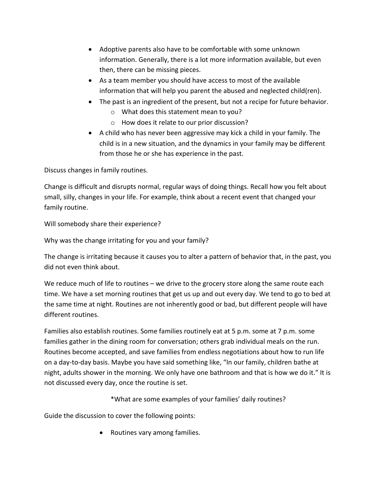- Adoptive parents also have to be comfortable with some unknown information. Generally, there is a lot more information available, but even then, there can be missing pieces.
- As a team member you should have access to most of the available information that will help you parent the abused and neglected child(ren).
- The past is an ingredient of the present, but not a recipe for future behavior.
	- o What does this statement mean to you?
	- o How does it relate to our prior discussion?
- A child who has never been aggressive may kick a child in your family. The child is in a new situation, and the dynamics in your family may be different from those he or she has experience in the past.

Discuss changes in family routines.

Change is difficult and disrupts normal, regular ways of doing things. Recall how you felt about small, silly, changes in your life. For example, think about a recent event that changed your family routine.

Will somebody share their experience?

Why was the change irritating for you and your family?

The change is irritating because it causes you to alter a pattern of behavior that, in the past, you did not even think about.

We reduce much of life to routines – we drive to the grocery store along the same route each time. We have a set morning routines that get us up and out every day. We tend to go to bed at the same time at night. Routines are not inherently good or bad, but different people will have different routines.

Families also establish routines. Some families routinely eat at 5 p.m. some at 7 p.m. some families gather in the dining room for conversation; others grab individual meals on the run. Routines become accepted, and save families from endless negotiations about how to run life on a day-to-day basis. Maybe you have said something like, "In our family, children bathe at night, adults shower in the morning. We only have one bathroom and that is how we do it." It is not discussed every day, once the routine is set.

\*What are some examples of your families' daily routines?

Guide the discussion to cover the following points:

• Routines vary among families.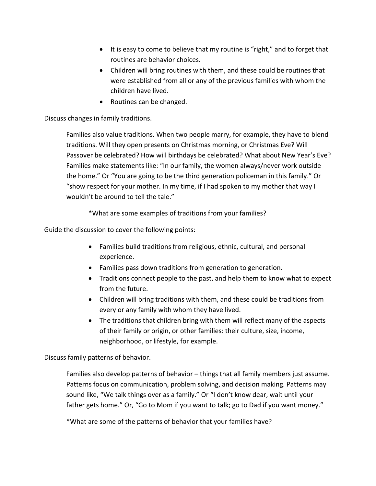- It is easy to come to believe that my routine is "right," and to forget that routines are behavior choices.
- Children will bring routines with them, and these could be routines that were established from all or any of the previous families with whom the children have lived.
- Routines can be changed.

## Discuss changes in family traditions.

Families also value traditions. When two people marry, for example, they have to blend traditions. Will they open presents on Christmas morning, or Christmas Eve? Will Passover be celebrated? How will birthdays be celebrated? What about New Year's Eve? Families make statements like: "In our family, the women always/never work outside the home." Or "You are going to be the third generation policeman in this family." Or "show respect for your mother. In my time, if I had spoken to my mother that way I wouldn't be around to tell the tale."

\*What are some examples of traditions from your families?

Guide the discussion to cover the following points:

- Families build traditions from religious, ethnic, cultural, and personal experience.
- Families pass down traditions from generation to generation.
- Traditions connect people to the past, and help them to know what to expect from the future.
- Children will bring traditions with them, and these could be traditions from every or any family with whom they have lived.
- The traditions that children bring with them will reflect many of the aspects of their family or origin, or other families: their culture, size, income, neighborhood, or lifestyle, for example.

Discuss family patterns of behavior.

Families also develop patterns of behavior – things that all family members just assume. Patterns focus on communication, problem solving, and decision making. Patterns may sound like, "We talk things over as a family." Or "I don't know dear, wait until your father gets home." Or, "Go to Mom if you want to talk; go to Dad if you want money."

\*What are some of the patterns of behavior that your families have?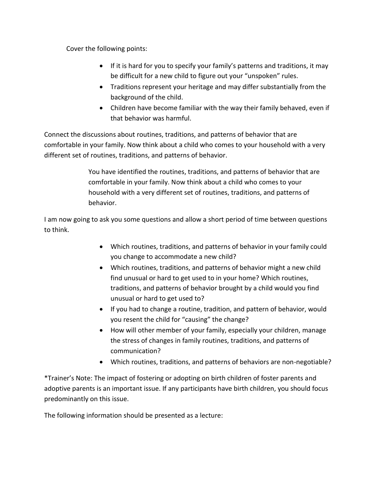Cover the following points:

- If it is hard for you to specify your family's patterns and traditions, it may be difficult for a new child to figure out your "unspoken" rules.
- Traditions represent your heritage and may differ substantially from the background of the child.
- Children have become familiar with the way their family behaved, even if that behavior was harmful.

Connect the discussions about routines, traditions, and patterns of behavior that are comfortable in your family. Now think about a child who comes to your household with a very different set of routines, traditions, and patterns of behavior.

> You have identified the routines, traditions, and patterns of behavior that are comfortable in your family. Now think about a child who comes to your household with a very different set of routines, traditions, and patterns of behavior.

I am now going to ask you some questions and allow a short period of time between questions to think.

- Which routines, traditions, and patterns of behavior in your family could you change to accommodate a new child?
- Which routines, traditions, and patterns of behavior might a new child find unusual or hard to get used to in your home? Which routines, traditions, and patterns of behavior brought by a child would you find unusual or hard to get used to?
- If you had to change a routine, tradition, and pattern of behavior, would you resent the child for "causing" the change?
- How will other member of your family, especially your children, manage the stress of changes in family routines, traditions, and patterns of communication?
- Which routines, traditions, and patterns of behaviors are non-negotiable?

\*Trainer's Note: The impact of fostering or adopting on birth children of foster parents and adoptive parents is an important issue. If any participants have birth children, you should focus predominantly on this issue.

The following information should be presented as a lecture: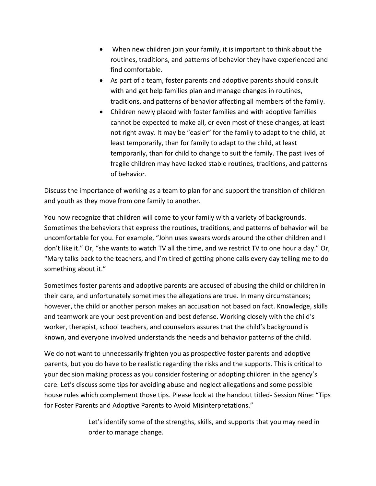- When new children join your family, it is important to think about the routines, traditions, and patterns of behavior they have experienced and find comfortable.
- As part of a team, foster parents and adoptive parents should consult with and get help families plan and manage changes in routines, traditions, and patterns of behavior affecting all members of the family.
- Children newly placed with foster families and with adoptive families cannot be expected to make all, or even most of these changes, at least not right away. It may be "easier" for the family to adapt to the child, at least temporarily, than for family to adapt to the child, at least temporarily, than for child to change to suit the family. The past lives of fragile children may have lacked stable routines, traditions, and patterns of behavior.

Discuss the importance of working as a team to plan for and support the transition of children and youth as they move from one family to another.

You now recognize that children will come to your family with a variety of backgrounds. Sometimes the behaviors that express the routines, traditions, and patterns of behavior will be uncomfortable for you. For example, "John uses swears words around the other children and I don't like it." Or, "she wants to watch TV all the time, and we restrict TV to one hour a day." Or, "Mary talks back to the teachers, and I'm tired of getting phone calls every day telling me to do something about it."

Sometimes foster parents and adoptive parents are accused of abusing the child or children in their care, and unfortunately sometimes the allegations are true. In many circumstances; however, the child or another person makes an accusation not based on fact. Knowledge, skills and teamwork are your best prevention and best defense. Working closely with the child's worker, therapist, school teachers, and counselors assures that the child's background is known, and everyone involved understands the needs and behavior patterns of the child.

We do not want to unnecessarily frighten you as prospective foster parents and adoptive parents, but you do have to be realistic regarding the risks and the supports. This is critical to your decision making process as you consider fostering or adopting children in the agency's care. Let's discuss some tips for avoiding abuse and neglect allegations and some possible house rules which complement those tips. Please look at the handout titled- Session Nine: "Tips for Foster Parents and Adoptive Parents to Avoid Misinterpretations."

> Let's identify some of the strengths, skills, and supports that you may need in order to manage change.